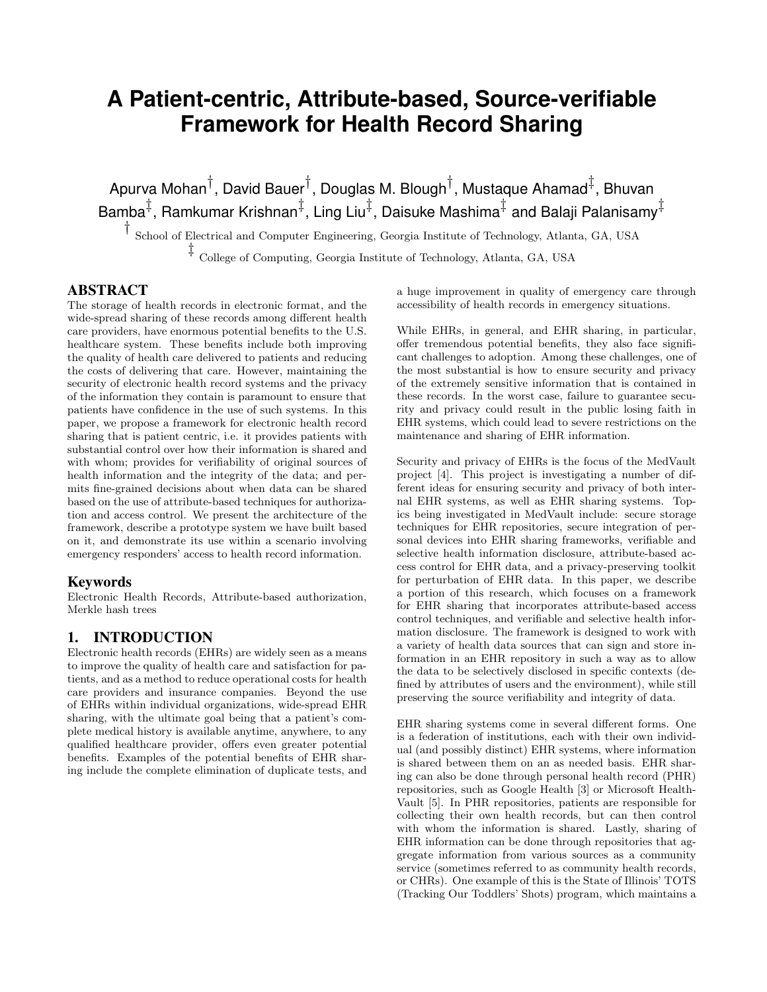# **A Patient-centric, Attribute-based, Source-verifiable Framework for Health Record Sharing**

Apurva Mohan $^\dagger$ , David Bauer $^\dagger$ , Douglas M. Blough $^\dagger$ , Mustaque Ahamad $^\ddagger$ , Bhuvan Bamba $^{\ddagger}$ , Ramkumar Krishnan $^{\ddagger}$ , Ling Liu $^{\ddagger}$ , Daisuke Mashima $^{\ddagger}$  and Balaji Palanisamy $^{\ddagger}$ 

† School of Electrical and Computer Engineering, Georgia Institute of Technology, Atlanta, GA, USA

‡ College of Computing, Georgia Institute of Technology, Atlanta, GA, USA

#### ABSTRACT

The storage of health records in electronic format, and the wide-spread sharing of these records among different health care providers, have enormous potential benefits to the U.S. healthcare system. These benefits include both improving the quality of health care delivered to patients and reducing the costs of delivering that care. However, maintaining the security of electronic health record systems and the privacy of the information they contain is paramount to ensure that patients have confidence in the use of such systems. In this paper, we propose a framework for electronic health record sharing that is patient centric, i.e. it provides patients with substantial control over how their information is shared and with whom; provides for verifiability of original sources of health information and the integrity of the data; and permits fine-grained decisions about when data can be shared based on the use of attribute-based techniques for authorization and access control. We present the architecture of the framework, describe a prototype system we have built based on it, and demonstrate its use within a scenario involving emergency responders' access to health record information.

#### Keywords

Electronic Health Records, Attribute-based authorization, Merkle hash trees

## 1. INTRODUCTION

Electronic health records (EHRs) are widely seen as a means to improve the quality of health care and satisfaction for patients, and as a method to reduce operational costs for health care providers and insurance companies. Beyond the use of EHRs within individual organizations, wide-spread EHR sharing, with the ultimate goal being that a patient's complete medical history is available anytime, anywhere, to any qualified healthcare provider, offers even greater potential benefits. Examples of the potential benefits of EHR sharing include the complete elimination of duplicate tests, and

a huge improvement in quality of emergency care through accessibility of health records in emergency situations.

While EHRs, in general, and EHR sharing, in particular, offer tremendous potential benefits, they also face significant challenges to adoption. Among these challenges, one of the most substantial is how to ensure security and privacy of the extremely sensitive information that is contained in these records. In the worst case, failure to guarantee security and privacy could result in the public losing faith in EHR systems, which could lead to severe restrictions on the maintenance and sharing of EHR information.

Security and privacy of EHRs is the focus of the MedVault project [4]. This project is investigating a number of different ideas for ensuring security and privacy of both internal EHR systems, as well as EHR sharing systems. Topics being investigated in MedVault include: secure storage techniques for EHR repositories, secure integration of personal devices into EHR sharing frameworks, verifiable and selective health information disclosure, attribute-based access control for EHR data, and a privacy-preserving toolkit for perturbation of EHR data. In this paper, we describe a portion of this research, which focuses on a framework for EHR sharing that incorporates attribute-based access control techniques, and verifiable and selective health information disclosure. The framework is designed to work with a variety of health data sources that can sign and store information in an EHR repository in such a way as to allow the data to be selectively disclosed in specific contexts (defined by attributes of users and the environment), while still preserving the source verifiability and integrity of data.

EHR sharing systems come in several different forms. One is a federation of institutions, each with their own individual (and possibly distinct) EHR systems, where information is shared between them on an as needed basis. EHR sharing can also be done through personal health record (PHR) repositories, such as Google Health [3] or Microsoft Health-Vault [5]. In PHR repositories, patients are responsible for collecting their own health records, but can then control with whom the information is shared. Lastly, sharing of EHR information can be done through repositories that aggregate information from various sources as a community service (sometimes referred to as community health records, or CHRs). One example of this is the State of Illinois' TOTS (Tracking Our Toddlers' Shots) program, which maintains a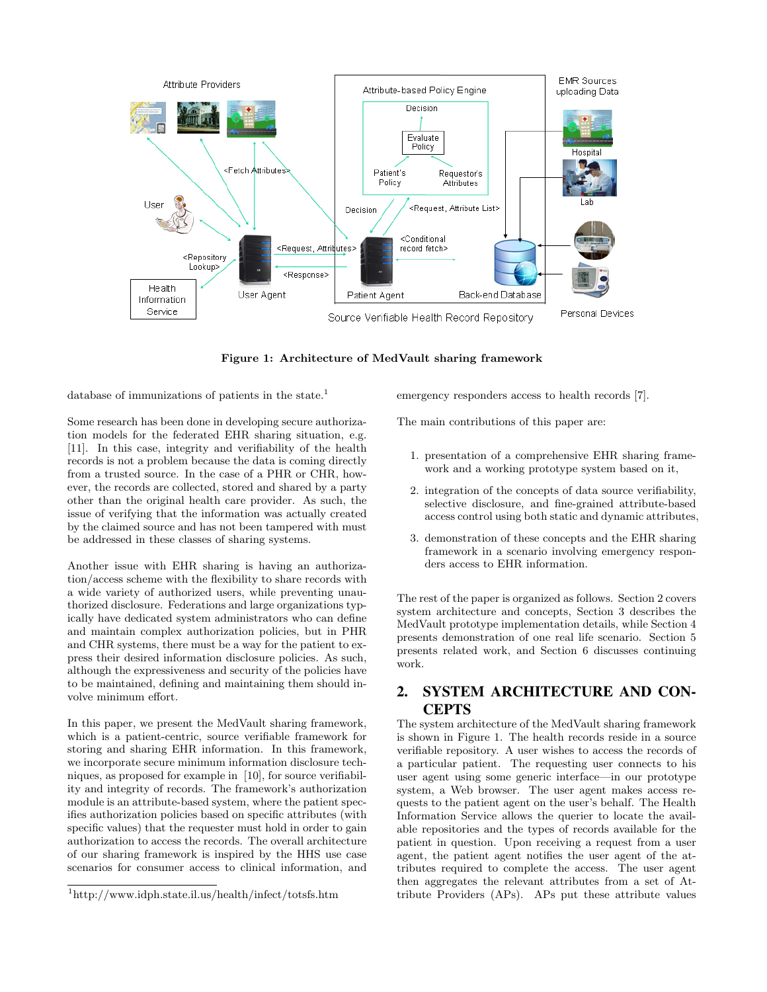

Figure 1: Architecture of MedVault sharing framework

database of immunizations of patients in the state.<sup>1</sup>

Some research has been done in developing secure authorization models for the federated EHR sharing situation, e.g. [11]. In this case, integrity and verifiability of the health records is not a problem because the data is coming directly from a trusted source. In the case of a PHR or CHR, however, the records are collected, stored and shared by a party other than the original health care provider. As such, the issue of verifying that the information was actually created by the claimed source and has not been tampered with must be addressed in these classes of sharing systems.

Another issue with EHR sharing is having an authorization/access scheme with the flexibility to share records with a wide variety of authorized users, while preventing unauthorized disclosure. Federations and large organizations typically have dedicated system administrators who can define and maintain complex authorization policies, but in PHR and CHR systems, there must be a way for the patient to express their desired information disclosure policies. As such, although the expressiveness and security of the policies have to be maintained, defining and maintaining them should involve minimum effort.

In this paper, we present the MedVault sharing framework, which is a patient-centric, source verifiable framework for storing and sharing EHR information. In this framework, we incorporate secure minimum information disclosure techniques, as proposed for example in [10], for source verifiability and integrity of records. The framework's authorization module is an attribute-based system, where the patient specifies authorization policies based on specific attributes (with specific values) that the requester must hold in order to gain authorization to access the records. The overall architecture of our sharing framework is inspired by the HHS use case scenarios for consumer access to clinical information, and emergency responders access to health records [7].

The main contributions of this paper are:

- 1. presentation of a comprehensive EHR sharing framework and a working prototype system based on it,
- 2. integration of the concepts of data source verifiability, selective disclosure, and fine-grained attribute-based access control using both static and dynamic attributes,
- 3. demonstration of these concepts and the EHR sharing framework in a scenario involving emergency responders access to EHR information.

The rest of the paper is organized as follows. Section 2 covers system architecture and concepts, Section 3 describes the MedVault prototype implementation details, while Section 4 presents demonstration of one real life scenario. Section 5 presents related work, and Section 6 discusses continuing work.

# 2. SYSTEM ARCHITECTURE AND CON-**CEPTS**

The system architecture of the MedVault sharing framework is shown in Figure 1. The health records reside in a source verifiable repository. A user wishes to access the records of a particular patient. The requesting user connects to his user agent using some generic interface—in our prototype system, a Web browser. The user agent makes access requests to the patient agent on the user's behalf. The Health Information Service allows the querier to locate the available repositories and the types of records available for the patient in question. Upon receiving a request from a user agent, the patient agent notifies the user agent of the attributes required to complete the access. The user agent then aggregates the relevant attributes from a set of Attribute Providers (APs). APs put these attribute values

<sup>1</sup>http://www.idph.state.il.us/health/infect/totsfs.htm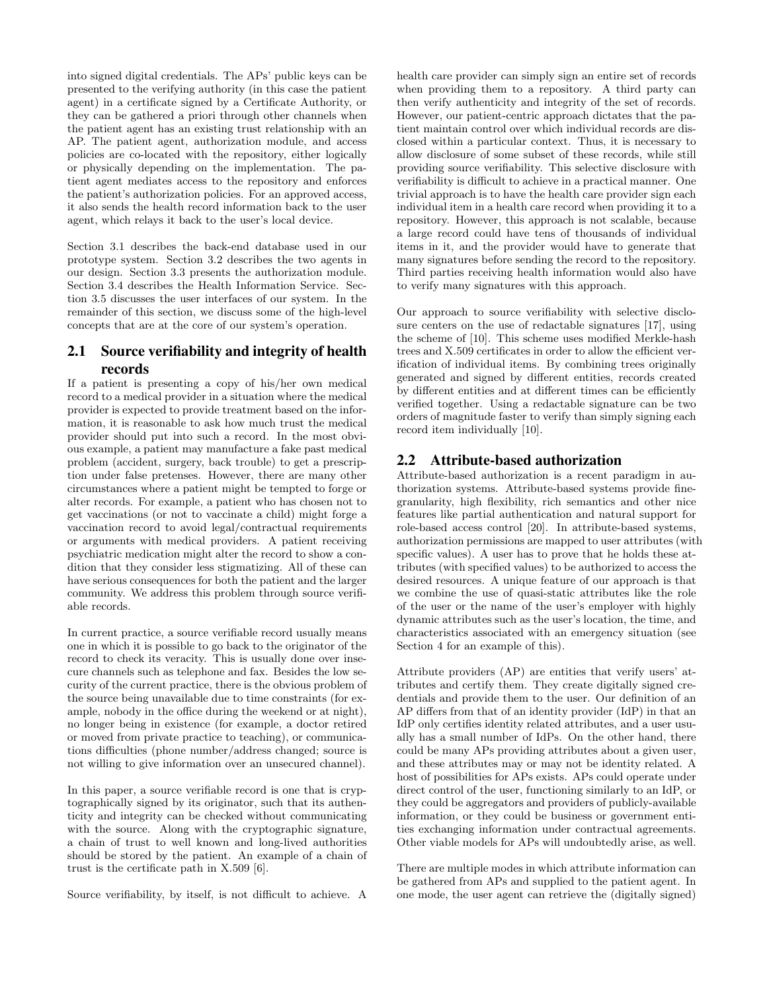into signed digital credentials. The APs' public keys can be presented to the verifying authority (in this case the patient agent) in a certificate signed by a Certificate Authority, or they can be gathered a priori through other channels when the patient agent has an existing trust relationship with an AP. The patient agent, authorization module, and access policies are co-located with the repository, either logically or physically depending on the implementation. The patient agent mediates access to the repository and enforces the patient's authorization policies. For an approved access, it also sends the health record information back to the user agent, which relays it back to the user's local device.

Section 3.1 describes the back-end database used in our prototype system. Section 3.2 describes the two agents in our design. Section 3.3 presents the authorization module. Section 3.4 describes the Health Information Service. Section 3.5 discusses the user interfaces of our system. In the remainder of this section, we discuss some of the high-level concepts that are at the core of our system's operation.

## 2.1 Source verifiability and integrity of health records

If a patient is presenting a copy of his/her own medical record to a medical provider in a situation where the medical provider is expected to provide treatment based on the information, it is reasonable to ask how much trust the medical provider should put into such a record. In the most obvious example, a patient may manufacture a fake past medical problem (accident, surgery, back trouble) to get a prescription under false pretenses. However, there are many other circumstances where a patient might be tempted to forge or alter records. For example, a patient who has chosen not to get vaccinations (or not to vaccinate a child) might forge a vaccination record to avoid legal/contractual requirements or arguments with medical providers. A patient receiving psychiatric medication might alter the record to show a condition that they consider less stigmatizing. All of these can have serious consequences for both the patient and the larger community. We address this problem through source verifiable records.

In current practice, a source verifiable record usually means one in which it is possible to go back to the originator of the record to check its veracity. This is usually done over insecure channels such as telephone and fax. Besides the low security of the current practice, there is the obvious problem of the source being unavailable due to time constraints (for example, nobody in the office during the weekend or at night), no longer being in existence (for example, a doctor retired or moved from private practice to teaching), or communications difficulties (phone number/address changed; source is not willing to give information over an unsecured channel).

In this paper, a source verifiable record is one that is cryptographically signed by its originator, such that its authenticity and integrity can be checked without communicating with the source. Along with the cryptographic signature, a chain of trust to well known and long-lived authorities should be stored by the patient. An example of a chain of trust is the certificate path in X.509 [6].

Source verifiability, by itself, is not difficult to achieve. A

health care provider can simply sign an entire set of records when providing them to a repository. A third party can then verify authenticity and integrity of the set of records. However, our patient-centric approach dictates that the patient maintain control over which individual records are disclosed within a particular context. Thus, it is necessary to allow disclosure of some subset of these records, while still providing source verifiability. This selective disclosure with verifiability is difficult to achieve in a practical manner. One trivial approach is to have the health care provider sign each individual item in a health care record when providing it to a repository. However, this approach is not scalable, because a large record could have tens of thousands of individual items in it, and the provider would have to generate that many signatures before sending the record to the repository. Third parties receiving health information would also have to verify many signatures with this approach.

Our approach to source verifiability with selective disclosure centers on the use of redactable signatures [17], using the scheme of [10]. This scheme uses modified Merkle-hash trees and X.509 certificates in order to allow the efficient verification of individual items. By combining trees originally generated and signed by different entities, records created by different entities and at different times can be efficiently verified together. Using a redactable signature can be two orders of magnitude faster to verify than simply signing each record item individually [10].

## 2.2 Attribute-based authorization

Attribute-based authorization is a recent paradigm in authorization systems. Attribute-based systems provide finegranularity, high flexibility, rich semantics and other nice features like partial authentication and natural support for role-based access control [20]. In attribute-based systems, authorization permissions are mapped to user attributes (with specific values). A user has to prove that he holds these attributes (with specified values) to be authorized to access the desired resources. A unique feature of our approach is that we combine the use of quasi-static attributes like the role of the user or the name of the user's employer with highly dynamic attributes such as the user's location, the time, and characteristics associated with an emergency situation (see Section 4 for an example of this).

Attribute providers (AP) are entities that verify users' attributes and certify them. They create digitally signed credentials and provide them to the user. Our definition of an AP differs from that of an identity provider (IdP) in that an IdP only certifies identity related attributes, and a user usually has a small number of IdPs. On the other hand, there could be many APs providing attributes about a given user, and these attributes may or may not be identity related. A host of possibilities for APs exists. APs could operate under direct control of the user, functioning similarly to an IdP, or they could be aggregators and providers of publicly-available information, or they could be business or government entities exchanging information under contractual agreements. Other viable models for APs will undoubtedly arise, as well.

There are multiple modes in which attribute information can be gathered from APs and supplied to the patient agent. In one mode, the user agent can retrieve the (digitally signed)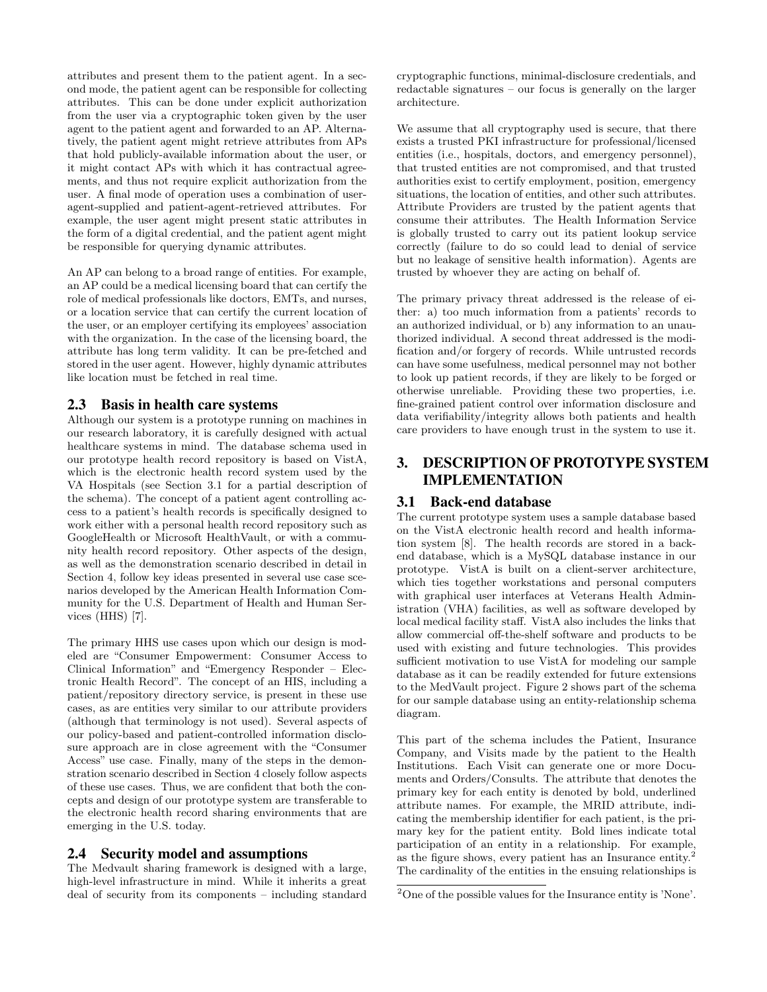attributes and present them to the patient agent. In a second mode, the patient agent can be responsible for collecting attributes. This can be done under explicit authorization from the user via a cryptographic token given by the user agent to the patient agent and forwarded to an AP. Alternatively, the patient agent might retrieve attributes from APs that hold publicly-available information about the user, or it might contact APs with which it has contractual agreements, and thus not require explicit authorization from the user. A final mode of operation uses a combination of useragent-supplied and patient-agent-retrieved attributes. For example, the user agent might present static attributes in the form of a digital credential, and the patient agent might be responsible for querying dynamic attributes.

An AP can belong to a broad range of entities. For example, an AP could be a medical licensing board that can certify the role of medical professionals like doctors, EMTs, and nurses, or a location service that can certify the current location of the user, or an employer certifying its employees' association with the organization. In the case of the licensing board, the attribute has long term validity. It can be pre-fetched and stored in the user agent. However, highly dynamic attributes like location must be fetched in real time.

## 2.3 Basis in health care systems

Although our system is a prototype running on machines in our research laboratory, it is carefully designed with actual healthcare systems in mind. The database schema used in our prototype health record repository is based on VistA, which is the electronic health record system used by the VA Hospitals (see Section 3.1 for a partial description of the schema). The concept of a patient agent controlling access to a patient's health records is specifically designed to work either with a personal health record repository such as GoogleHealth or Microsoft HealthVault, or with a community health record repository. Other aspects of the design, as well as the demonstration scenario described in detail in Section 4, follow key ideas presented in several use case scenarios developed by the American Health Information Community for the U.S. Department of Health and Human Services (HHS) [7].

The primary HHS use cases upon which our design is modeled are "Consumer Empowerment: Consumer Access to Clinical Information" and "Emergency Responder – Electronic Health Record". The concept of an HIS, including a patient/repository directory service, is present in these use cases, as are entities very similar to our attribute providers (although that terminology is not used). Several aspects of our policy-based and patient-controlled information disclosure approach are in close agreement with the "Consumer Access" use case. Finally, many of the steps in the demonstration scenario described in Section 4 closely follow aspects of these use cases. Thus, we are confident that both the concepts and design of our prototype system are transferable to the electronic health record sharing environments that are emerging in the U.S. today.

#### 2.4 Security model and assumptions

The Medvault sharing framework is designed with a large, high-level infrastructure in mind. While it inherits a great deal of security from its components – including standard cryptographic functions, minimal-disclosure credentials, and redactable signatures – our focus is generally on the larger architecture.

We assume that all cryptography used is secure, that there exists a trusted PKI infrastructure for professional/licensed entities (i.e., hospitals, doctors, and emergency personnel), that trusted entities are not compromised, and that trusted authorities exist to certify employment, position, emergency situations, the location of entities, and other such attributes. Attribute Providers are trusted by the patient agents that consume their attributes. The Health Information Service is globally trusted to carry out its patient lookup service correctly (failure to do so could lead to denial of service but no leakage of sensitive health information). Agents are trusted by whoever they are acting on behalf of.

The primary privacy threat addressed is the release of either: a) too much information from a patients' records to an authorized individual, or b) any information to an unauthorized individual. A second threat addressed is the modification and/or forgery of records. While untrusted records can have some usefulness, medical personnel may not bother to look up patient records, if they are likely to be forged or otherwise unreliable. Providing these two properties, i.e. fine-grained patient control over information disclosure and data verifiability/integrity allows both patients and health care providers to have enough trust in the system to use it.

# 3. DESCRIPTION OF PROTOTYPE SYSTEM IMPLEMENTATION

## 3.1 Back-end database

The current prototype system uses a sample database based on the VistA electronic health record and health information system [8]. The health records are stored in a backend database, which is a MySQL database instance in our prototype. VistA is built on a client-server architecture, which ties together workstations and personal computers with graphical user interfaces at Veterans Health Administration (VHA) facilities, as well as software developed by local medical facility staff. VistA also includes the links that allow commercial off-the-shelf software and products to be used with existing and future technologies. This provides sufficient motivation to use VistA for modeling our sample database as it can be readily extended for future extensions to the MedVault project. Figure 2 shows part of the schema for our sample database using an entity-relationship schema diagram.

This part of the schema includes the Patient, Insurance Company, and Visits made by the patient to the Health Institutions. Each Visit can generate one or more Documents and Orders/Consults. The attribute that denotes the primary key for each entity is denoted by bold, underlined attribute names. For example, the MRID attribute, indicating the membership identifier for each patient, is the primary key for the patient entity. Bold lines indicate total participation of an entity in a relationship. For example, as the figure shows, every patient has an Insurance entity.<sup>2</sup> The cardinality of the entities in the ensuing relationships is

<sup>2</sup>One of the possible values for the Insurance entity is 'None'.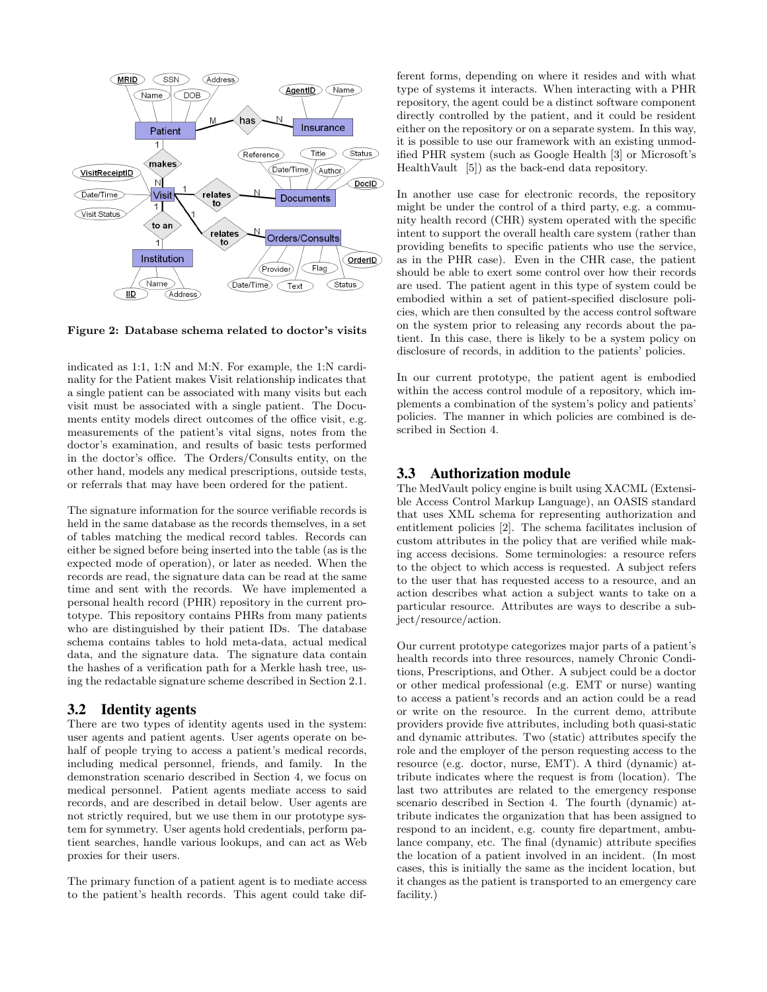

Figure 2: Database schema related to doctor's visits

indicated as 1:1, 1:N and M:N. For example, the 1:N cardinality for the Patient makes Visit relationship indicates that a single patient can be associated with many visits but each visit must be associated with a single patient. The Documents entity models direct outcomes of the office visit, e.g. measurements of the patient's vital signs, notes from the doctor's examination, and results of basic tests performed in the doctor's office. The Orders/Consults entity, on the other hand, models any medical prescriptions, outside tests, or referrals that may have been ordered for the patient.

The signature information for the source verifiable records is held in the same database as the records themselves, in a set of tables matching the medical record tables. Records can either be signed before being inserted into the table (as is the expected mode of operation), or later as needed. When the records are read, the signature data can be read at the same time and sent with the records. We have implemented a personal health record (PHR) repository in the current prototype. This repository contains PHRs from many patients who are distinguished by their patient IDs. The database schema contains tables to hold meta-data, actual medical data, and the signature data. The signature data contain the hashes of a verification path for a Merkle hash tree, using the redactable signature scheme described in Section 2.1.

#### 3.2 Identity agents

There are two types of identity agents used in the system: user agents and patient agents. User agents operate on behalf of people trying to access a patient's medical records, including medical personnel, friends, and family. In the demonstration scenario described in Section 4, we focus on medical personnel. Patient agents mediate access to said records, and are described in detail below. User agents are not strictly required, but we use them in our prototype system for symmetry. User agents hold credentials, perform patient searches, handle various lookups, and can act as Web proxies for their users.

The primary function of a patient agent is to mediate access to the patient's health records. This agent could take different forms, depending on where it resides and with what type of systems it interacts. When interacting with a PHR repository, the agent could be a distinct software component directly controlled by the patient, and it could be resident either on the repository or on a separate system. In this way, it is possible to use our framework with an existing unmodified PHR system (such as Google Health [3] or Microsoft's HealthVault [5]) as the back-end data repository.

In another use case for electronic records, the repository might be under the control of a third party, e.g. a community health record (CHR) system operated with the specific intent to support the overall health care system (rather than providing benefits to specific patients who use the service, as in the PHR case). Even in the CHR case, the patient should be able to exert some control over how their records are used. The patient agent in this type of system could be embodied within a set of patient-specified disclosure policies, which are then consulted by the access control software on the system prior to releasing any records about the patient. In this case, there is likely to be a system policy on disclosure of records, in addition to the patients' policies.

In our current prototype, the patient agent is embodied within the access control module of a repository, which implements a combination of the system's policy and patients' policies. The manner in which policies are combined is described in Section 4.

#### 3.3 Authorization module

The MedVault policy engine is built using XACML (Extensible Access Control Markup Language), an OASIS standard that uses XML schema for representing authorization and entitlement policies [2]. The schema facilitates inclusion of custom attributes in the policy that are verified while making access decisions. Some terminologies: a resource refers to the object to which access is requested. A subject refers to the user that has requested access to a resource, and an action describes what action a subject wants to take on a particular resource. Attributes are ways to describe a subject/resource/action.

Our current prototype categorizes major parts of a patient's health records into three resources, namely Chronic Conditions, Prescriptions, and Other. A subject could be a doctor or other medical professional (e.g. EMT or nurse) wanting to access a patient's records and an action could be a read or write on the resource. In the current demo, attribute providers provide five attributes, including both quasi-static and dynamic attributes. Two (static) attributes specify the role and the employer of the person requesting access to the resource (e.g. doctor, nurse, EMT). A third (dynamic) attribute indicates where the request is from (location). The last two attributes are related to the emergency response scenario described in Section 4. The fourth (dynamic) attribute indicates the organization that has been assigned to respond to an incident, e.g. county fire department, ambulance company, etc. The final (dynamic) attribute specifies the location of a patient involved in an incident. (In most cases, this is initially the same as the incident location, but it changes as the patient is transported to an emergency care facility.)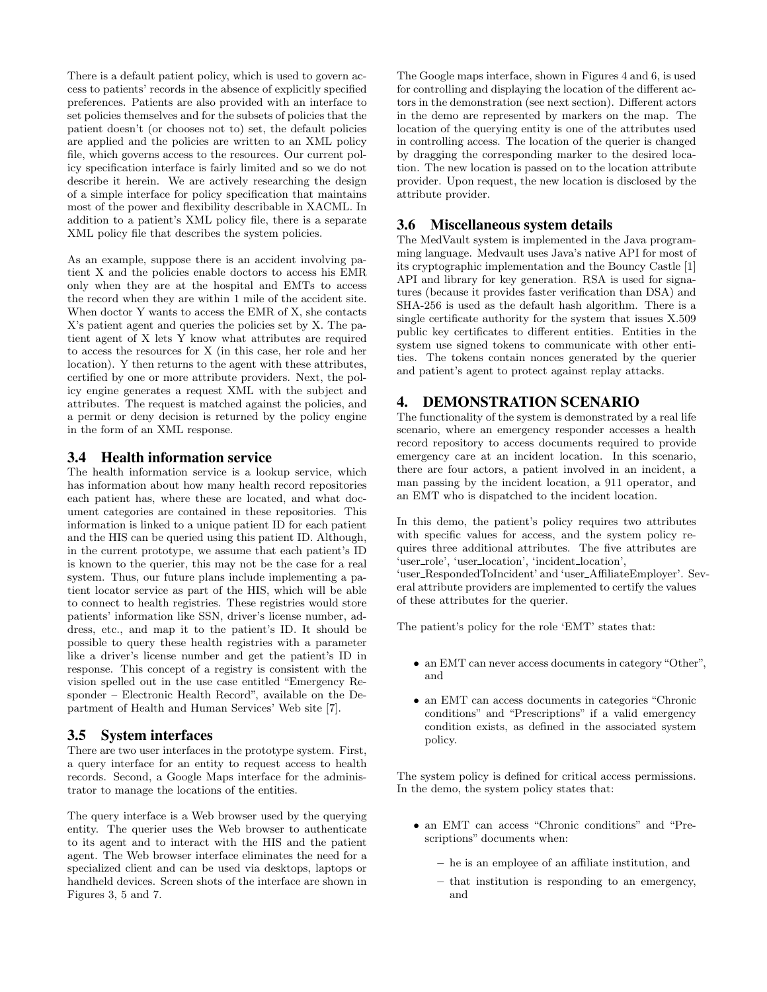There is a default patient policy, which is used to govern access to patients' records in the absence of explicitly specified preferences. Patients are also provided with an interface to set policies themselves and for the subsets of policies that the patient doesn't (or chooses not to) set, the default policies are applied and the policies are written to an XML policy file, which governs access to the resources. Our current policy specification interface is fairly limited and so we do not describe it herein. We are actively researching the design of a simple interface for policy specification that maintains most of the power and flexibility describable in XACML. In addition to a patient's XML policy file, there is a separate XML policy file that describes the system policies.

As an example, suppose there is an accident involving patient X and the policies enable doctors to access his EMR only when they are at the hospital and EMTs to access the record when they are within 1 mile of the accident site. When doctor Y wants to access the EMR of X, she contacts X's patient agent and queries the policies set by X. The patient agent of X lets Y know what attributes are required to access the resources for X (in this case, her role and her location). Y then returns to the agent with these attributes, certified by one or more attribute providers. Next, the policy engine generates a request XML with the subject and attributes. The request is matched against the policies, and a permit or deny decision is returned by the policy engine in the form of an XML response.

#### 3.4 Health information service

The health information service is a lookup service, which has information about how many health record repositories each patient has, where these are located, and what document categories are contained in these repositories. This information is linked to a unique patient ID for each patient and the HIS can be queried using this patient ID. Although, in the current prototype, we assume that each patient's ID is known to the querier, this may not be the case for a real system. Thus, our future plans include implementing a patient locator service as part of the HIS, which will be able to connect to health registries. These registries would store patients' information like SSN, driver's license number, address, etc., and map it to the patient's ID. It should be possible to query these health registries with a parameter like a driver's license number and get the patient's ID in response. This concept of a registry is consistent with the vision spelled out in the use case entitled "Emergency Responder – Electronic Health Record", available on the Department of Health and Human Services' Web site [7].

## 3.5 System interfaces

There are two user interfaces in the prototype system. First, a query interface for an entity to request access to health records. Second, a Google Maps interface for the administrator to manage the locations of the entities.

The query interface is a Web browser used by the querying entity. The querier uses the Web browser to authenticate to its agent and to interact with the HIS and the patient agent. The Web browser interface eliminates the need for a specialized client and can be used via desktops, laptops or handheld devices. Screen shots of the interface are shown in Figures 3, 5 and 7.

The Google maps interface, shown in Figures 4 and 6, is used for controlling and displaying the location of the different actors in the demonstration (see next section). Different actors in the demo are represented by markers on the map. The location of the querying entity is one of the attributes used in controlling access. The location of the querier is changed by dragging the corresponding marker to the desired location. The new location is passed on to the location attribute provider. Upon request, the new location is disclosed by the attribute provider.

#### 3.6 Miscellaneous system details

The MedVault system is implemented in the Java programming language. Medvault uses Java's native API for most of its cryptographic implementation and the Bouncy Castle [1] API and library for key generation. RSA is used for signatures (because it provides faster verification than DSA) and SHA-256 is used as the default hash algorithm. There is a single certificate authority for the system that issues X.509 public key certificates to different entities. Entities in the system use signed tokens to communicate with other entities. The tokens contain nonces generated by the querier and patient's agent to protect against replay attacks.

#### 4. DEMONSTRATION SCENARIO

The functionality of the system is demonstrated by a real life scenario, where an emergency responder accesses a health record repository to access documents required to provide emergency care at an incident location. In this scenario, there are four actors, a patient involved in an incident, a man passing by the incident location, a 911 operator, and an EMT who is dispatched to the incident location.

In this demo, the patient's policy requires two attributes with specific values for access, and the system policy requires three additional attributes. The five attributes are 'user\_role', 'user\_location', 'incident\_location', 'user RespondedToIncident' and 'user AffiliateEmployer'. Several attribute providers are implemented to certify the values of these attributes for the querier.

The patient's policy for the role 'EMT' states that:

- an EMT can never access documents in category "Other", and
- an EMT can access documents in categories "Chronic conditions" and "Prescriptions" if a valid emergency condition exists, as defined in the associated system policy.

The system policy is defined for critical access permissions. In the demo, the system policy states that:

- an EMT can access "Chronic conditions" and "Prescriptions" documents when:
	- he is an employee of an affiliate institution, and
	- that institution is responding to an emergency, and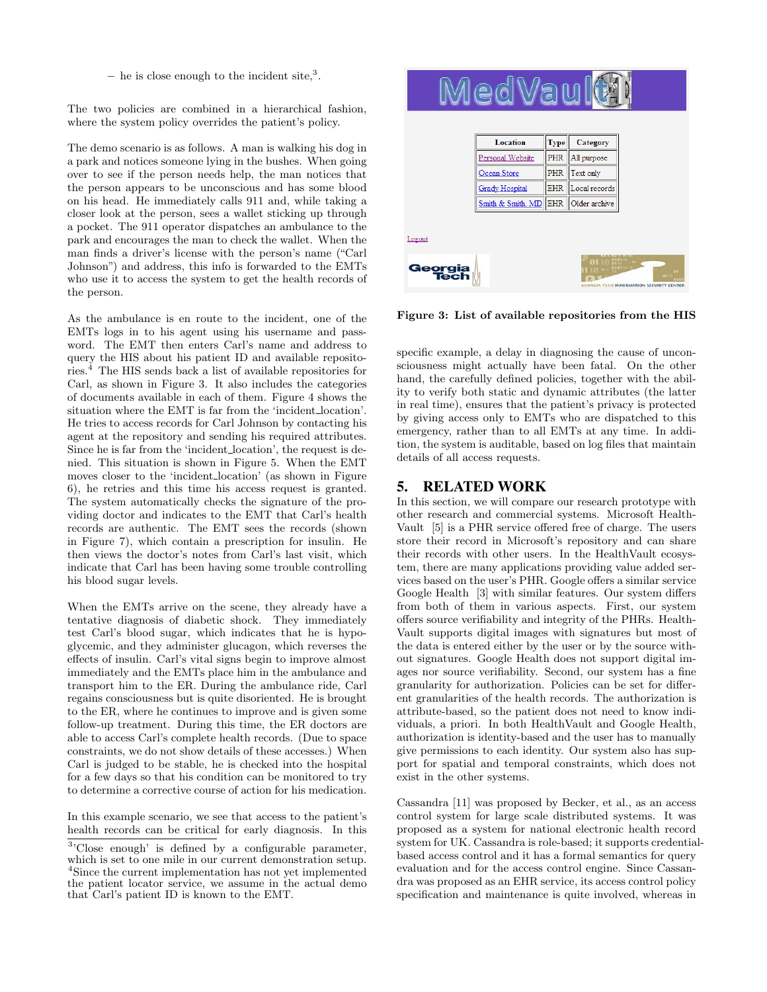– he is close enough to the incident site, $3$ .

The two policies are combined in a hierarchical fashion, where the system policy overrides the patient's policy.

The demo scenario is as follows. A man is walking his dog in a park and notices someone lying in the bushes. When going over to see if the person needs help, the man notices that the person appears to be unconscious and has some blood on his head. He immediately calls 911 and, while taking a closer look at the person, sees a wallet sticking up through a pocket. The 911 operator dispatches an ambulance to the park and encourages the man to check the wallet. When the man finds a driver's license with the person's name ("Carl Johnson") and address, this info is forwarded to the EMTs who use it to access the system to get the health records of the person.

As the ambulance is en route to the incident, one of the EMTs logs in to his agent using his username and password. The EMT then enters Carl's name and address to query the HIS about his patient ID and available repositories.<sup>4</sup> The HIS sends back a list of available repositories for Carl, as shown in Figure 3. It also includes the categories of documents available in each of them. Figure 4 shows the situation where the EMT is far from the 'incident location'. He tries to access records for Carl Johnson by contacting his agent at the repository and sending his required attributes. Since he is far from the 'incident location', the request is denied. This situation is shown in Figure 5. When the EMT moves closer to the 'incident location' (as shown in Figure 6), he retries and this time his access request is granted. The system automatically checks the signature of the providing doctor and indicates to the EMT that Carl's health records are authentic. The EMT sees the records (shown in Figure 7), which contain a prescription for insulin. He then views the doctor's notes from Carl's last visit, which indicate that Carl has been having some trouble controlling his blood sugar levels.

When the EMTs arrive on the scene, they already have a tentative diagnosis of diabetic shock. They immediately test Carl's blood sugar, which indicates that he is hypoglycemic, and they administer glucagon, which reverses the effects of insulin. Carl's vital signs begin to improve almost immediately and the EMTs place him in the ambulance and transport him to the ER. During the ambulance ride, Carl regains consciousness but is quite disoriented. He is brought to the ER, where he continues to improve and is given some follow-up treatment. During this time, the ER doctors are able to access Carl's complete health records. (Due to space constraints, we do not show details of these accesses.) When Carl is judged to be stable, he is checked into the hospital for a few days so that his condition can be monitored to try to determine a corrective course of action for his medication.

In this example scenario, we see that access to the patient's health records can be critical for early diagnosis. In this



Figure 3: List of available repositories from the HIS

specific example, a delay in diagnosing the cause of unconsciousness might actually have been fatal. On the other hand, the carefully defined policies, together with the ability to verify both static and dynamic attributes (the latter in real time), ensures that the patient's privacy is protected by giving access only to EMTs who are dispatched to this emergency, rather than to all EMTs at any time. In addition, the system is auditable, based on log files that maintain details of all access requests.

# 5. RELATED WORK

In this section, we will compare our research prototype with other research and commercial systems. Microsoft Health-Vault [5] is a PHR service offered free of charge. The users store their record in Microsoft's repository and can share their records with other users. In the HealthVault ecosystem, there are many applications providing value added services based on the user's PHR. Google offers a similar service Google Health [3] with similar features. Our system differs from both of them in various aspects. First, our system offers source verifiability and integrity of the PHRs. Health-Vault supports digital images with signatures but most of the data is entered either by the user or by the source without signatures. Google Health does not support digital images nor source verifiability. Second, our system has a fine granularity for authorization. Policies can be set for different granularities of the health records. The authorization is attribute-based, so the patient does not need to know individuals, a priori. In both HealthVault and Google Health, authorization is identity-based and the user has to manually give permissions to each identity. Our system also has support for spatial and temporal constraints, which does not exist in the other systems.

Cassandra [11] was proposed by Becker, et al., as an access control system for large scale distributed systems. It was proposed as a system for national electronic health record system for UK. Cassandra is role-based; it supports credentialbased access control and it has a formal semantics for query evaluation and for the access control engine. Since Cassandra was proposed as an EHR service, its access control policy specification and maintenance is quite involved, whereas in

<sup>&</sup>lt;sup>3</sup>'Close enough' is defined by a configurable parameter, which is set to one mile in our current demonstration setup. <sup>4</sup>Since the current implementation has not yet implemented the patient locator service, we assume in the actual demo that Carl's patient ID is known to the EMT.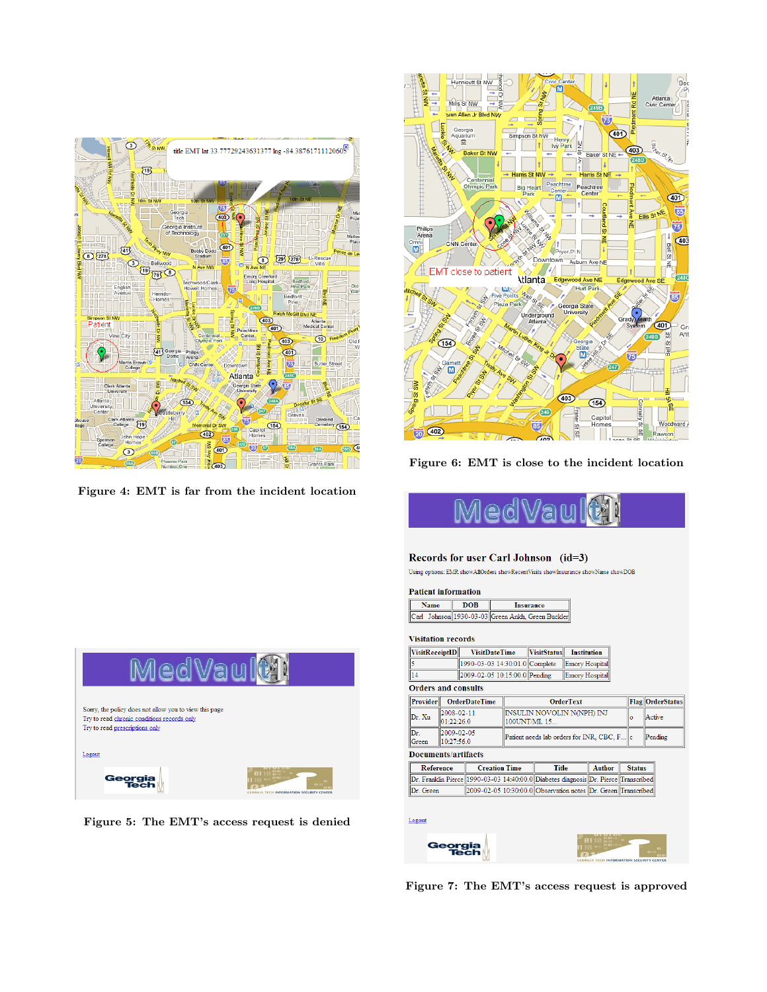

Figure 4: EMT is far from the incident location



Figure 6: EMT is close to the incident location



#### Records for user Carl Johnson (id=3)

 $\label{thm:main} \textbf{Using options: EMR showAllOrders showRecentVisits show} In \textit{surance showName} \textit{showDOB}$ 

#### **Patient information**

| lame | Insurance                                    |  |  |
|------|----------------------------------------------|--|--|
|      | Johnson 1930-03-03 Green Ankh. Green Buckler |  |  |

#### **Visitation records**

| <b>VisitReceiptID</b> | <b>VisitDateTime</b>           | VisitStatus Institution |  |
|-----------------------|--------------------------------|-------------------------|--|
|                       | 1990-03-03 14:30:01.0 Complete | Emory Hospital          |  |
| 14                    | 2009-02-05 10:15:00.0 Pending  | Emory Hospital          |  |

#### **Orders and consults**

| Provider                          |                          | <b>OrderDateTime</b> |                                             | <b>OrderText</b>                                                                    |               |  | <b>Flag OrderStatus</b> |  |  |
|-----------------------------------|--------------------------|----------------------|---------------------------------------------|-------------------------------------------------------------------------------------|---------------|--|-------------------------|--|--|
| Dr. Xu                            | 2008-02-11<br>01:22:26.0 |                      | INSULIN NOVOLIN N(NPH) INJ<br>100UNT/ML 15  |                                                                                     |               |  | Active                  |  |  |
| Dr.<br>Green                      | 2009-02-05<br>10:27:56.0 |                      | Patient needs lab orders for INR, CBC, F  c |                                                                                     |               |  | Pending                 |  |  |
| <b>Documents/artifacts</b>        |                          |                      |                                             |                                                                                     |               |  |                         |  |  |
| Reference<br><b>Creation Time</b> |                          |                      | <b>Title</b>                                | Author                                                                              | <b>Status</b> |  |                         |  |  |
|                                   |                          |                      |                                             | Dr. Franklin Pierce 1990-03-03 14:40:00.0 Diabetes diagnosis Dr. Pierce Transcribed |               |  |                         |  |  |

Logout



Figure 7: The EMT's access request is approved



Figure 5: The EMT's access request is denied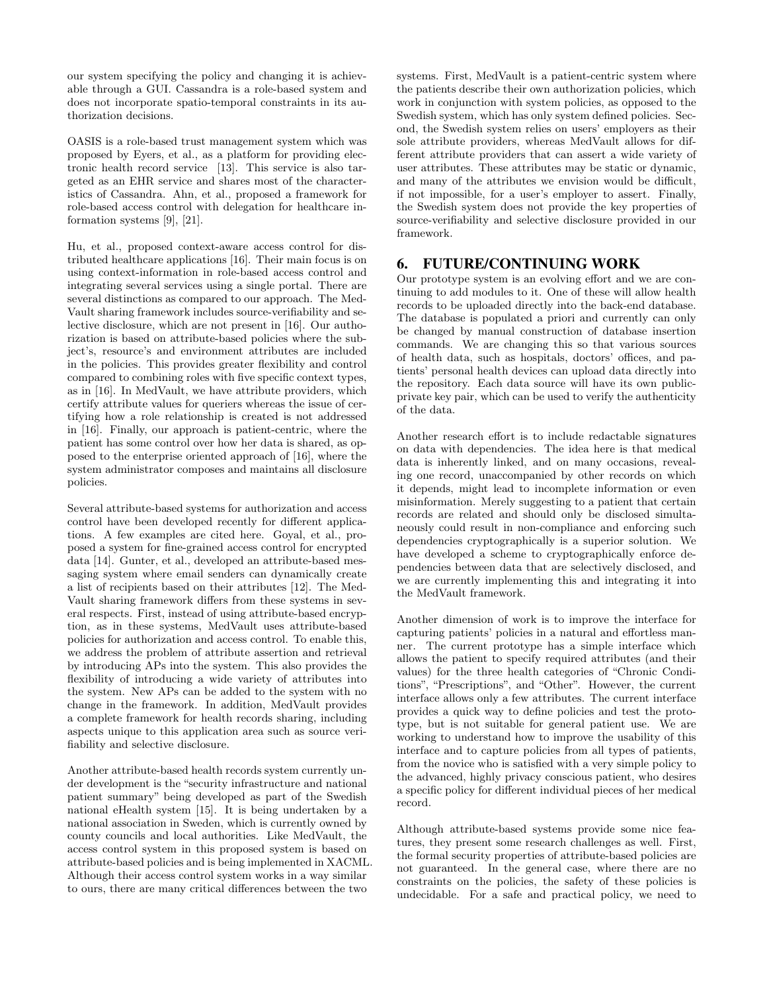our system specifying the policy and changing it is achievable through a GUI. Cassandra is a role-based system and does not incorporate spatio-temporal constraints in its authorization decisions.

OASIS is a role-based trust management system which was proposed by Eyers, et al., as a platform for providing electronic health record service [13]. This service is also targeted as an EHR service and shares most of the characteristics of Cassandra. Ahn, et al., proposed a framework for role-based access control with delegation for healthcare information systems [9], [21].

Hu, et al., proposed context-aware access control for distributed healthcare applications [16]. Their main focus is on using context-information in role-based access control and integrating several services using a single portal. There are several distinctions as compared to our approach. The Med-Vault sharing framework includes source-verifiability and selective disclosure, which are not present in [16]. Our authorization is based on attribute-based policies where the subject's, resource's and environment attributes are included in the policies. This provides greater flexibility and control compared to combining roles with five specific context types, as in [16]. In MedVault, we have attribute providers, which certify attribute values for queriers whereas the issue of certifying how a role relationship is created is not addressed in [16]. Finally, our approach is patient-centric, where the patient has some control over how her data is shared, as opposed to the enterprise oriented approach of [16], where the system administrator composes and maintains all disclosure policies.

Several attribute-based systems for authorization and access control have been developed recently for different applications. A few examples are cited here. Goyal, et al., proposed a system for fine-grained access control for encrypted data [14]. Gunter, et al., developed an attribute-based messaging system where email senders can dynamically create a list of recipients based on their attributes [12]. The Med-Vault sharing framework differs from these systems in several respects. First, instead of using attribute-based encryption, as in these systems, MedVault uses attribute-based policies for authorization and access control. To enable this, we address the problem of attribute assertion and retrieval by introducing APs into the system. This also provides the flexibility of introducing a wide variety of attributes into the system. New APs can be added to the system with no change in the framework. In addition, MedVault provides a complete framework for health records sharing, including aspects unique to this application area such as source verifiability and selective disclosure.

Another attribute-based health records system currently under development is the "security infrastructure and national patient summary" being developed as part of the Swedish national eHealth system [15]. It is being undertaken by a national association in Sweden, which is currently owned by county councils and local authorities. Like MedVault, the access control system in this proposed system is based on attribute-based policies and is being implemented in XACML. Although their access control system works in a way similar to ours, there are many critical differences between the two

systems. First, MedVault is a patient-centric system where the patients describe their own authorization policies, which work in conjunction with system policies, as opposed to the Swedish system, which has only system defined policies. Second, the Swedish system relies on users' employers as their sole attribute providers, whereas MedVault allows for different attribute providers that can assert a wide variety of user attributes. These attributes may be static or dynamic, and many of the attributes we envision would be difficult, if not impossible, for a user's employer to assert. Finally, the Swedish system does not provide the key properties of source-verifiability and selective disclosure provided in our framework.

## 6. FUTURE/CONTINUING WORK

Our prototype system is an evolving effort and we are continuing to add modules to it. One of these will allow health records to be uploaded directly into the back-end database. The database is populated a priori and currently can only be changed by manual construction of database insertion commands. We are changing this so that various sources of health data, such as hospitals, doctors' offices, and patients' personal health devices can upload data directly into the repository. Each data source will have its own publicprivate key pair, which can be used to verify the authenticity of the data.

Another research effort is to include redactable signatures on data with dependencies. The idea here is that medical data is inherently linked, and on many occasions, revealing one record, unaccompanied by other records on which it depends, might lead to incomplete information or even misinformation. Merely suggesting to a patient that certain records are related and should only be disclosed simultaneously could result in non-compliance and enforcing such dependencies cryptographically is a superior solution. We have developed a scheme to cryptographically enforce dependencies between data that are selectively disclosed, and we are currently implementing this and integrating it into the MedVault framework.

Another dimension of work is to improve the interface for capturing patients' policies in a natural and effortless manner. The current prototype has a simple interface which allows the patient to specify required attributes (and their values) for the three health categories of "Chronic Conditions", "Prescriptions", and "Other". However, the current interface allows only a few attributes. The current interface provides a quick way to define policies and test the prototype, but is not suitable for general patient use. We are working to understand how to improve the usability of this interface and to capture policies from all types of patients, from the novice who is satisfied with a very simple policy to the advanced, highly privacy conscious patient, who desires a specific policy for different individual pieces of her medical record.

Although attribute-based systems provide some nice features, they present some research challenges as well. First, the formal security properties of attribute-based policies are not guaranteed. In the general case, where there are no constraints on the policies, the safety of these policies is undecidable. For a safe and practical policy, we need to